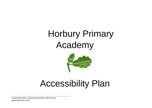# Horbury Primary Academy



# Accessibility Plan

Created May 2016 - Reviewed September 2021 Review again September 2023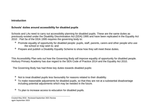#### **Introduction**

### **Schools' duties around accessibility for disabled pupils**

Schools and LAs need to carry out accessibility planning for disabled pupils. These are the same duties as previously existed under the Disability Discrimination Act (DDA) 1995 and have been replicated in the Equality Act 2010 . Part 5a of the DDA 1995 requires the governing body to:

- <sup>o</sup> Promote equality of opportunity for disabled people: pupils, staff, parents, carers and other people who use the school or may wish to; and
- <sup>o</sup> Prepare and publish a Disability Equality Scheme to show how they will meet these duties.

This Accessibility Plan sets out how the Governing Body will improve equality of opportunity for disabled people. Horbury Primary Academy has due regard to the SEN Code of Practice 2014 and the Equality Act 2010.

The Governing Body has had three key duties towards disabled pupils:

- <sup>o</sup> Not to treat disabled pupils less favourably for reasons related to their disability.
- <sup>o</sup> To make reasonable adjustments for disabled pupils, so that they are not at a substantial disadvantage including potential adjustments which may be needed in the future.
- <sup>o</sup> To plan to increase access to education for disabled pupils.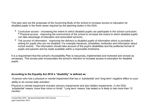This plan sets out the proposals of the Governing Body of the school to increase access to education for disabled pupils in the three areas required by the planning duties in the DDA.

- Curriculum access Increasing the extent to which disabled pupils can participate in the school curriculum; Physical access - Improving the environment of the school to increase the extent to which disabled pupils can take advantage of education and associated services;
- <sup>o</sup> The access of information Improving the delivery to disabled pupils of information which is provided in writing for pupils who are not disabled. For example handouts, timetables, textbooks and information about school events. The information should take account of the pupil's disabilities and the preferred format of pupils and parents and be made available within a reasonable timeframe.

It is a requirement that the school's Accessibility Plan is resourced**,** implemented and reviewed and revised as necessary. This access plan incorporates the school's intention to increase access to education for disabled pupils.

# **According to the Equality Act 2010 a "disability" is defined as:**

*'A person who has a physical or mental impairment that has a 'substantial' and 'long-term' negative effect on your ability to do normal daily activities'.*

Physical or mental impairment includes sensory impairments and also hidden impairments. In the DDA 'substantial' means 'more than minor or trivial'. 'Long term' means 'has lasted or is likely to last more than 12 months.'

Created May 2016 - Reviewed September 2021 Review again September 2023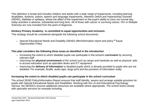This definition is broad and includes children and adults with a wide range of impairments, including learning disabilities, dyslexia, autism, speech and language impairments, Attention Deficit and Hyperactivity Disorder (ADHD), diabetes or epilepsy, where the effect of the impairment on the pupil's ability to carry out normal daytoday activities is adverse, substantial and long-term. All of those with cancer or surviving cancer, HIV or Multiple Sclerosis are now included from the point of diagnosis.

# **Horbury Primary Academy is committed to equal opportunities and inclusion.**

This strategy should be considered alongside the following school documents:

 $\geq$  Special Educational Needs and Disability (SEND) offer/information report and policy  $\circ$  Equal Opportunities Policy

# **This plan considers the following three areas as identified in the introduction** :

- ➢ Increasing the extent to which disabled pupils can participate in the school's **curriculum** by securing relevant staff
- ➢ Improving the **physical environment** of the school such as ramps and handrails as well as physical aids to access education such as specialist desks and ICT equipment
- ➢ Improving the **delivery of information** to disabled pupils which is already provided to pupils who are not disabled. For example, Braille, audio tape, large print and the provision of information orally.

# **Increasing the extent to which disabled pupils can participate in the school curriculum**

The school SEND Policy/Information Report ensures that staff identify, assess and arrange suitable provision for pupils with Special Educational Needs and Disabilities. Working with the LA and Educational Psychology Service, the SENDCo ensures additional resources are available where appropriate. The school works closely with specialist services for example including: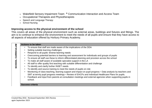- ► Wakefield Sensory Impairment Team <sup>o</sup> Communication Interaction and Access Team
- ➢ Occupational Therapists and Physiotherapists
- $\geq$  Speech and Language Therapy
- $\triangleright$  School Nursing

#### **Improving access to the physical environment of the school**

This covers all areas of the physical environment such as external areas, buildings and fixtures and fittings. The aim is to continue to enhance the environment to meet the needs of all pupils and ensure that they have access to all aspects of education offered by Horbury Primary Academy.

|                      | <b>Actions to be taken</b> |                                                                                                                                                                                                                    |  |  |
|----------------------|----------------------------|--------------------------------------------------------------------------------------------------------------------------------------------------------------------------------------------------------------------|--|--|
| CURRICULUM<br>SCHOOL |                            | To ensure that staff are made aware of the implications of the DDA                                                                                                                                                 |  |  |
|                      |                            | Setting suitable learning challenges                                                                                                                                                                               |  |  |
|                      |                            | Respond to all pupils' diverse learning needs                                                                                                                                                                      |  |  |
|                      |                            | Overcoming potential barriers to learning and assessment for individuals and groups of pupils                                                                                                                      |  |  |
|                      |                            | To ensure all staff use these to inform differentiated planning and provision across the school                                                                                                                    |  |  |
|                      |                            | To make all staff aware of available specialist support in the LA                                                                                                                                                  |  |  |
|                      |                            | All staff to offer quality first teaching with suitable differentiation and challenge                                                                                                                              |  |  |
|                      |                            | To identify and clarify further INSET needs                                                                                                                                                                        |  |  |
|                      |                            | To identify and source training to meet the needs of pupils on role                                                                                                                                                |  |  |
|                      |                            | Monitoring of class teaching, learning support and impact on pupil progress • Data analysis by teachers and<br>SMT at termly pupil progress meetings • Review of EHCPs and Individual Healthcare Plans for pupils. |  |  |
|                      |                            | Feedback and input from parents at consultation meetings and external agencies when supporting pupils in<br>school.                                                                                                |  |  |
|                      |                            | <b>Success criteria</b>                                                                                                                                                                                            |  |  |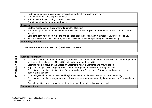- Evidence noted in planning, lesson observation feedback and via learning walks
- Staff aware of available Support Services
- Staff access suitable training tailored to their needs
- Attendance of staff at appropriate training

#### **Progress**

- Laptops purchased for pupils with writing/motor difficulties
- Staff meeting/training taken place on motor difficulties, SEND legislation and updates, SEND data and trends in school.
- Each term staff have been invited to and attended drop in sessions with a number of SEND professionals.
- SENDCo attends Inclusion Forums, MAT SEND Development Group and regular SEND training.

#### **Monitoring of plans**

#### **School Senior Leadership Team (SLT) and SEND Governor**

| <b>ACCESS</b><br><b>JAJISAH</b> | <b>Actions to be taken</b> |                                                                                                                                                                                                   |  |  |
|---------------------------------|----------------------------|---------------------------------------------------------------------------------------------------------------------------------------------------------------------------------------------------|--|--|
|                                 |                            | To ensure school and Local Authority (LA) are aware of all areas of the school premises where there are potential<br>barriers to physical access. This will include indoor and outdoor facilities |  |  |
|                                 |                            | Learning walks to focus on the access arrangements within classrooms and around school                                                                                                            |  |  |
|                                 |                            | Pupil voices/pupil views sought by SENDCo and through the creation of 'One Page Profiles'                                                                                                         |  |  |
|                                 |                            | To continue to monitor potential intake for the following term/year to identify training needs and access advice<br>from relevant agencies                                                        |  |  |
|                                 |                            | To investigate whiteboard screens and heights to allow all pupils to access touch screen technology                                                                                               |  |  |
|                                 |                            | To continue to monitor arrangements for children with sensory, dietary and rigid routine needs • To maintain the<br>lifts                                                                         |  |  |
|                                 |                            | Fire drill modifications e.g Makaton posters/visual aid of fire drill routines where needed.                                                                                                      |  |  |
|                                 |                            | <b>Success criteria</b>                                                                                                                                                                           |  |  |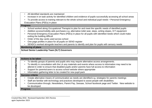- All identified standards are maintained
- Increase in on task activity for identified children and evidence of pupils successfully accessing all school areas
- To provide access to training relevant to the whole school and individual pupil needs Personal Emergency Evacuation Plans (PEEs) in place

#### **Progress**

- School worked along Occupational Therapist to plan for and meet the specific needs of identified pupils
- Addition access/mobility aids purchases e.g. alternative toilet seat, steps, writing slopes, ICT equipment
- Personal Emergency Evacuation Plans (PEEs) in place for all pupils with identified needs which could make exiting the building difficult
- Order of the day cards used across school
- One page profiles in place for all pupils on SEND register
- SENDCo worked alongside teachers and parents to identify and plan for pupils with sensory needs

#### **Monitoring of plans**

**School Senior Leadership Team (SLT) Governors** 

|               | <b>Actions to be taken</b> |                                                                                                                          |  |  |
|---------------|----------------------------|--------------------------------------------------------------------------------------------------------------------------|--|--|
| O             | $\bullet$                  | To identify groups of parents and pupils who may require alternative access arrangements.                                |  |  |
| RMA           | $\bullet$                  | To identify in consultation with the LA any materials and events where access to information may need to be              |  |  |
|               |                            | altered in order to ensure that disabled pupils and/or parents have full access to information                           |  |  |
| ō<br>}        |                            | Support for parents/carers to access school website where appropriate                                                    |  |  |
|               |                            | Information gathering letter to be created for new pupil pack                                                            |  |  |
| O.            | <b>Success criteria</b>    |                                                                                                                          |  |  |
|               |                            | Create alternative means of communication as needs are identified e.g. strategies for parents meetings                   |  |  |
| <b>ACCESS</b> |                            | Staff are familiar with technology and practices developed to assist people with disabilities                            |  |  |
|               |                            | Communication through, Newsletters, Parent Pay, Seesaw, School facebook page and Twitter. New website to<br>be developed |  |  |
|               | <b>Progress</b>            |                                                                                                                          |  |  |